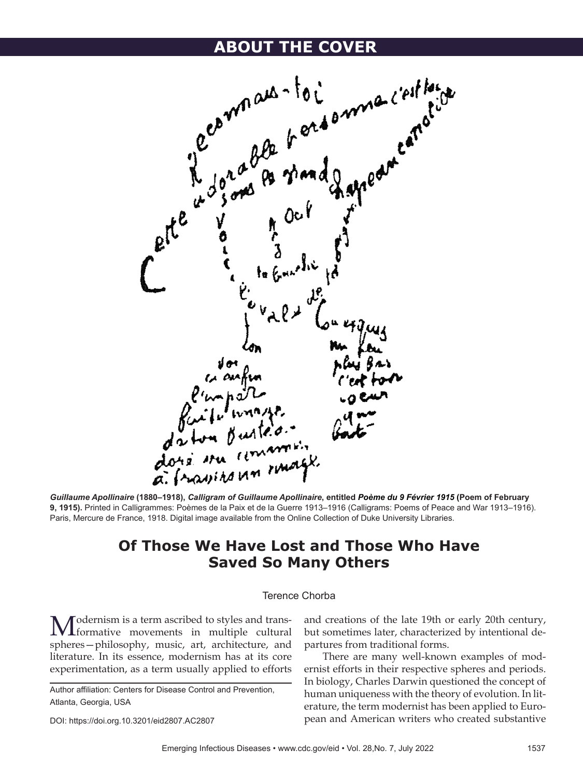

*Guillaume Apollinaire* **(1880‒1918),** *Calligram of Guillaume Apollinaire***, entitled** *Poème du 9 Février 1915* **(Poem of February 9, 1915).** Printed in Calligrammes: Poèmes de la Paix et de la Guerre 1913–1916 (Calligrams: Poems of Peace and War 1913–1916). Paris, Mercure de France, 1918. Digital image available from the Online Collection of Duke University Libraries.

## **Of Those We Have Lost and Those Who Have Saved So Many Others**

## Terence Chorba

Modernism is a term ascribed to styles and trans-formative movements in multiple cultural spheres—philosophy, music, art, architecture, and literature. In its essence, modernism has at its core experimentation, as a term usually applied to efforts

DOI: https://doi.org.10.3201/eid2807.AC2807

and creations of the late 19th or early 20th century, but sometimes later, characterized by intentional departures from traditional forms.

There are many well-known examples of modernist efforts in their respective spheres and periods. In biology, Charles Darwin questioned the concept of human uniqueness with the theory of evolution. In literature, the term modernist has been applied to European and American writers who created substantive

Author affiliation: Centers for Disease Control and Prevention, Atlanta, Georgia, USA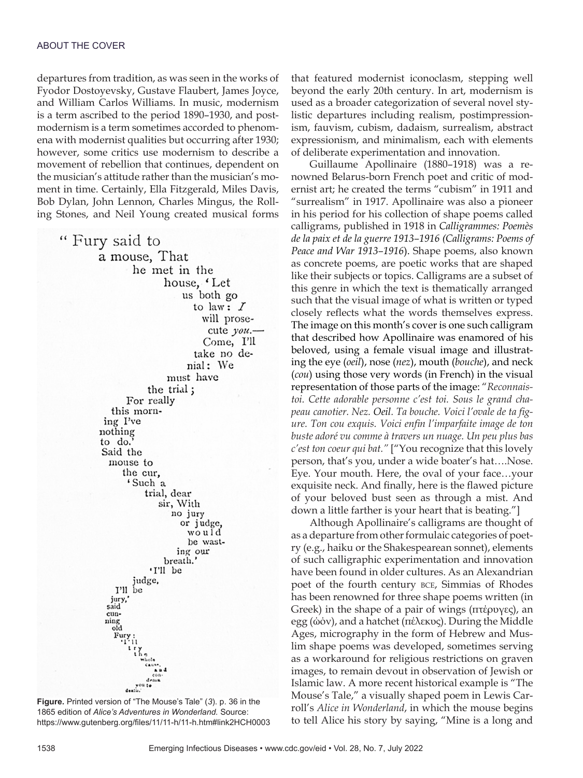departures from tradition, as was seen in the works of Fyodor Dostoyevsky, Gustave Flaubert, James Joyce, and William Carlos Williams. In music, modernism is a term ascribed to the period 1890–1930, and postmodernism is a term sometimes accorded to phenomena with modernist qualities but occurring after 1930; however, some critics use modernism to describe a movement of rebellion that continues, dependent on the musician's attitude rather than the musician's moment in time. Certainly, Ella Fitzgerald, Miles Davis, Bob Dylan, John Lennon, Charles Mingus, the Rolling Stones, and Neil Young created musical forms

" Fury said to a mouse, That he met in the house, Let us both go to law:  $I$ will prosecute you.-Come, I'll take no denial: We must have the trial; For really this morning I've nothing to do. Said the mouse to the cur, 'Such a trial, dear sir, With no jury or judge, would be wasting our breath. 'I'll be judge, I'll be jury,' said cunning<br>old  $F_{111}$ dema death.

**Figure.** Printed version of "The Mouse's Tale" (*3*). p. 36 in the 1865 edition of *Alice's Adventures in Wonderland.* Source: https://www.gutenberg.org/files/11/11-h/11-h.htm#link2HCH0003 that featured modernist iconoclasm, stepping well beyond the early 20th century. In art, modernism is used as a broader categorization of several novel stylistic departures including realism, postimpressionism, fauvism, cubism, dadaism, surrealism, abstract expressionism, and minimalism, each with elements of deliberate experimentation and innovation.

Guillaume Apollinaire (1880–1918) was a renowned Belarus-born French poet and critic of modernist art; he created the terms "cubism" in 1911 and "surrealism" in 1917. Apollinaire was also a pioneer in his period for his collection of shape poems called calligrams, published in 1918 in *Calligrammes: Poemès de la paix et de la guerre 1913–1916 (Calligrams: Poems of Peace and War 1913–1916*). Shape poems, also known as concrete poems, are poetic works that are shaped like their subjects or topics. Calligrams are a subset of this genre in which the text is thematically arranged such that the visual image of what is written or typed closely reflects what the words themselves express. The image on this month's cover is one such calligram that described how Apollinaire was enamored of his beloved, using a female visual image and illustrating the eye (*oeil*), nose (*nez*), mouth (*bouche*), and neck (*cou*) using those very words (in French) in the visual representation of those parts of the image: "*Reconnaistoi. Cette adorable personne c'est toi. Sous le grand chapeau canotier. Nez. Oeil. Ta bouche. Voici l'ovale de ta figure. Ton cou exquis. Voici enfin l'imparfaite image de ton buste adoré vu comme à travers un nuage. Un peu plus bas c'est ton coeur qui bat."* ["You recognize that this lovely person, that's you, under a wide boater's hat….Nose. Eye. Your mouth. Here, the oval of your face…your exquisite neck. And finally, here is the flawed picture of your beloved bust seen as through a mist. And down a little farther is your heart that is beating."]

Although Apollinaire's calligrams are thought of as a departure from other formulaic categories of poetry (e.g., haiku or the Shakespearean sonnet), elements of such calligraphic experimentation and innovation have been found in older cultures. As an Alexandrian poet of the fourth century bce, Simmias of Rhodes has been renowned for three shape poems written (in Greek) in the shape of a pair of wings (πτέρυγες), an egg (ώόν), and a hatchet (πέλεκυς). During the Middle Ages, micrography in the form of Hebrew and Muslim shape poems was developed, sometimes serving as a workaround for religious restrictions on graven images, to remain devout in observation of Jewish or Islamic law. A more recent historical example is "The Mouse's Tale," a visually shaped poem in Lewis Carroll's *Alice in Wonderland*, in which the mouse begins to tell Alice his story by saying, "Mine is a long and